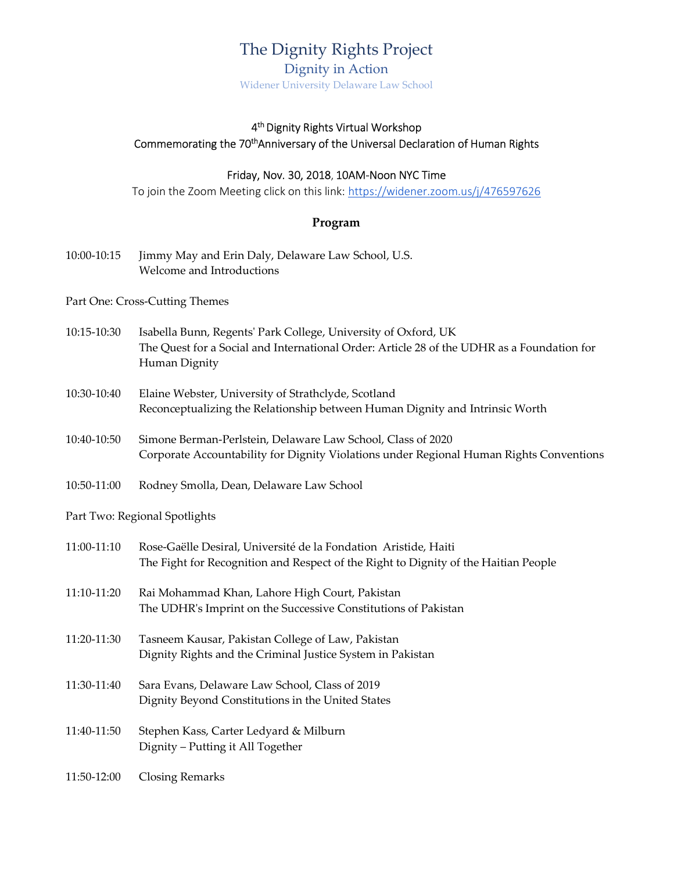## The Dignity Rights Project

Dignity in Action Widener University Delaware Law School

## 4 th Dignity Rights Virtual Workshop Commemorating the 70<sup>th</sup>Anniversary of the Universal Declaration of Human Rights

## Friday, Nov. 30, 2018, 10AM-Noon NYC Time

To join the Zoom Meeting click on this link: https://widener.zoom.us/j/476597626

## Program

10:00-10:15 Jimmy May and Erin Daly, Delaware Law School, U.S. Welcome and Introductions

Part One: Cross-Cutting Themes

- 10:15-10:30 Isabella Bunn, Regents' Park College, University of Oxford, UK The Quest for a Social and International Order: Article 28 of the UDHR as a Foundation for Human Dignity
- 10:30-10:40 Elaine Webster, University of Strathclyde, Scotland Reconceptualizing the Relationship between Human Dignity and Intrinsic Worth
- 10:40-10:50 Simone Berman-Perlstein, Delaware Law School, Class of 2020 Corporate Accountability for Dignity Violations under Regional Human Rights Conventions
- 10:50-11:00 Rodney Smolla, Dean, Delaware Law School

Part Two: Regional Spotlights

| 11:00-11:10 | Rose-Gaëlle Desiral, Université de la Fondation Aristide, Haiti<br>The Fight for Recognition and Respect of the Right to Dignity of the Haitian People |
|-------------|--------------------------------------------------------------------------------------------------------------------------------------------------------|
| 11:10-11:20 | Rai Mohammad Khan, Lahore High Court, Pakistan<br>The UDHR's Imprint on the Successive Constitutions of Pakistan                                       |
| 11:20-11:30 | Tasneem Kausar, Pakistan College of Law, Pakistan<br>Dignity Rights and the Criminal Justice System in Pakistan                                        |
| 11:30-11:40 | Sara Evans, Delaware Law School, Class of 2019<br>Dignity Beyond Constitutions in the United States                                                    |
| 11:40-11:50 | Stephen Kass, Carter Ledyard & Milburn<br>Dignity – Putting it All Together                                                                            |
| 11:50-12:00 | Closing Remarks                                                                                                                                        |